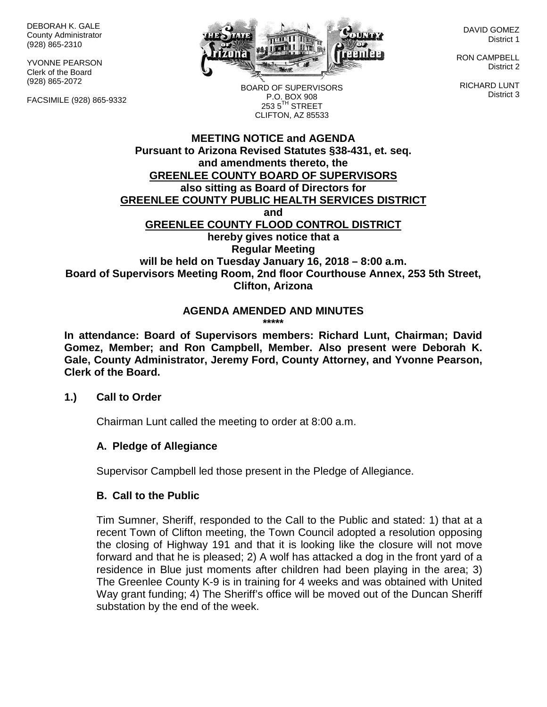DEBORAH K. GALE County Administrator (928) 865-2310

YVONNE PEARSON Clerk of the Board (928) 865-2072

FACSIMILE (928) 865-9332



DAVID GOMEZ District 1

RON CAMPBELL District 2

RICHARD LUNT District 3

BOARD OF SUPERVISORS P.O. BOX 908  $253.5$ <sup>TH</sup> STREET CLIFTON, AZ 85533

# **MEETING NOTICE and AGENDA Pursuant to Arizona Revised Statutes §38-431, et. seq. and amendments thereto, the GREENLEE COUNTY BOARD OF SUPERVISORS also sitting as Board of Directors for GREENLEE COUNTY PUBLIC HEALTH SERVICES DISTRICT and GREENLEE COUNTY FLOOD CONTROL DISTRICT hereby gives notice that a Regular Meeting will be held on Tuesday January 16, 2018 – 8:00 a.m. Board of Supervisors Meeting Room, 2nd floor Courthouse Annex, 253 5th Street, Clifton, Arizona**

#### **AGENDA AMENDED AND MINUTES \*\*\*\*\***

**In attendance: Board of Supervisors members: Richard Lunt, Chairman; David Gomez, Member; and Ron Campbell, Member. Also present were Deborah K. Gale, County Administrator, Jeremy Ford, County Attorney, and Yvonne Pearson, Clerk of the Board.**

#### **1.) Call to Order**

Chairman Lunt called the meeting to order at 8:00 a.m.

# **A. Pledge of Allegiance**

Supervisor Campbell led those present in the Pledge of Allegiance.

# **B. Call to the Public**

Tim Sumner, Sheriff, responded to the Call to the Public and stated: 1) that at a recent Town of Clifton meeting, the Town Council adopted a resolution opposing the closing of Highway 191 and that it is looking like the closure will not move forward and that he is pleased; 2) A wolf has attacked a dog in the front yard of a residence in Blue just moments after children had been playing in the area; 3) The Greenlee County K-9 is in training for 4 weeks and was obtained with United Way grant funding; 4) The Sheriff's office will be moved out of the Duncan Sheriff substation by the end of the week.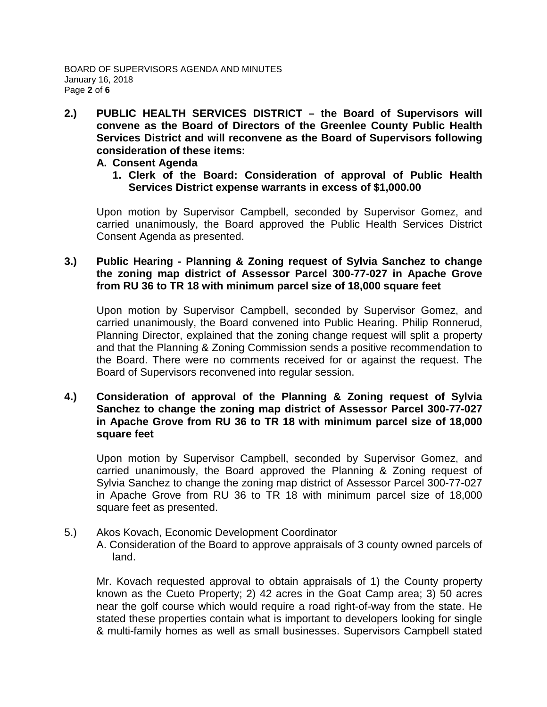**2.) PUBLIC HEALTH SERVICES DISTRICT – the Board of Supervisors will convene as the Board of Directors of the Greenlee County Public Health Services District and will reconvene as the Board of Supervisors following consideration of these items:**

## **A. Consent Agenda**

**1. Clerk of the Board: Consideration of approval of Public Health Services District expense warrants in excess of \$1,000.00**

Upon motion by Supervisor Campbell, seconded by Supervisor Gomez, and carried unanimously, the Board approved the Public Health Services District Consent Agenda as presented.

# **3.) Public Hearing - Planning & Zoning request of Sylvia Sanchez to change the zoning map district of Assessor Parcel 300-77-027 in Apache Grove from RU 36 to TR 18 with minimum parcel size of 18,000 square feet**

Upon motion by Supervisor Campbell, seconded by Supervisor Gomez, and carried unanimously, the Board convened into Public Hearing. Philip Ronnerud, Planning Director, explained that the zoning change request will split a property and that the Planning & Zoning Commission sends a positive recommendation to the Board. There were no comments received for or against the request. The Board of Supervisors reconvened into regular session.

## **4.) Consideration of approval of the Planning & Zoning request of Sylvia Sanchez to change the zoning map district of Assessor Parcel 300-77-027 in Apache Grove from RU 36 to TR 18 with minimum parcel size of 18,000 square feet**

Upon motion by Supervisor Campbell, seconded by Supervisor Gomez, and carried unanimously, the Board approved the Planning & Zoning request of Sylvia Sanchez to change the zoning map district of Assessor Parcel 300-77-027 in Apache Grove from RU 36 to TR 18 with minimum parcel size of 18,000 square feet as presented.

#### 5.) Akos Kovach, Economic Development Coordinator A. Consideration of the Board to approve appraisals of 3 county owned parcels of land.

Mr. Kovach requested approval to obtain appraisals of 1) the County property known as the Cueto Property; 2) 42 acres in the Goat Camp area; 3) 50 acres near the golf course which would require a road right-of-way from the state. He stated these properties contain what is important to developers looking for single & multi-family homes as well as small businesses. Supervisors Campbell stated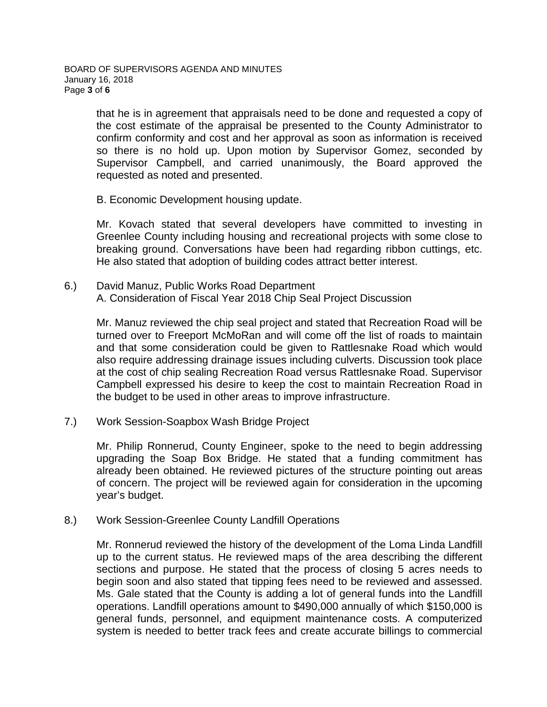that he is in agreement that appraisals need to be done and requested a copy of the cost estimate of the appraisal be presented to the County Administrator to confirm conformity and cost and her approval as soon as information is received so there is no hold up. Upon motion by Supervisor Gomez, seconded by Supervisor Campbell, and carried unanimously, the Board approved the requested as noted and presented.

B. Economic Development housing update.

Mr. Kovach stated that several developers have committed to investing in Greenlee County including housing and recreational projects with some close to breaking ground. Conversations have been had regarding ribbon cuttings, etc. He also stated that adoption of building codes attract better interest.

6.) David Manuz, Public Works Road Department A. Consideration of Fiscal Year 2018 Chip Seal Project Discussion

Mr. Manuz reviewed the chip seal project and stated that Recreation Road will be turned over to Freeport McMoRan and will come off the list of roads to maintain and that some consideration could be given to Rattlesnake Road which would also require addressing drainage issues including culverts. Discussion took place at the cost of chip sealing Recreation Road versus Rattlesnake Road. Supervisor Campbell expressed his desire to keep the cost to maintain Recreation Road in the budget to be used in other areas to improve infrastructure.

7.) Work Session-Soapbox Wash Bridge Project

Mr. Philip Ronnerud, County Engineer, spoke to the need to begin addressing upgrading the Soap Box Bridge. He stated that a funding commitment has already been obtained. He reviewed pictures of the structure pointing out areas of concern. The project will be reviewed again for consideration in the upcoming year's budget.

8.) Work Session-Greenlee County Landfill Operations

Mr. Ronnerud reviewed the history of the development of the Loma Linda Landfill up to the current status. He reviewed maps of the area describing the different sections and purpose. He stated that the process of closing 5 acres needs to begin soon and also stated that tipping fees need to be reviewed and assessed. Ms. Gale stated that the County is adding a lot of general funds into the Landfill operations. Landfill operations amount to \$490,000 annually of which \$150,000 is general funds, personnel, and equipment maintenance costs. A computerized system is needed to better track fees and create accurate billings to commercial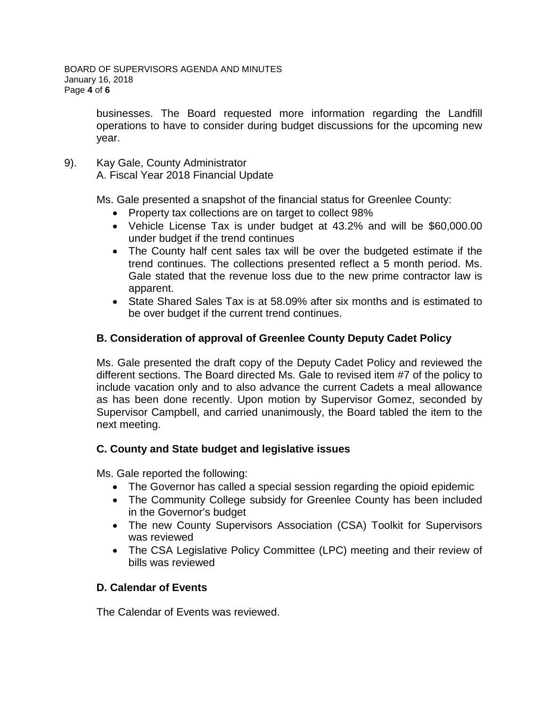businesses. The Board requested more information regarding the Landfill operations to have to consider during budget discussions for the upcoming new year.

9). Kay Gale, County Administrator A. Fiscal Year 2018 Financial Update

Ms. Gale presented a snapshot of the financial status for Greenlee County:

- Property tax collections are on target to collect 98%
- Vehicle License Tax is under budget at 43.2% and will be \$60,000.00 under budget if the trend continues
- The County half cent sales tax will be over the budgeted estimate if the trend continues. The collections presented reflect a 5 month period. Ms. Gale stated that the revenue loss due to the new prime contractor law is apparent.
- State Shared Sales Tax is at 58.09% after six months and is estimated to be over budget if the current trend continues.

# **B. Consideration of approval of Greenlee County Deputy Cadet Policy**

Ms. Gale presented the draft copy of the Deputy Cadet Policy and reviewed the different sections. The Board directed Ms. Gale to revised item #7 of the policy to include vacation only and to also advance the current Cadets a meal allowance as has been done recently. Upon motion by Supervisor Gomez, seconded by Supervisor Campbell, and carried unanimously, the Board tabled the item to the next meeting.

# **C. County and State budget and legislative issues**

Ms. Gale reported the following:

- The Governor has called a special session regarding the opioid epidemic
- The Community College subsidy for Greenlee County has been included in the Governor's budget
- The new County Supervisors Association (CSA) Toolkit for Supervisors was reviewed
- The CSA Legislative Policy Committee (LPC) meeting and their review of bills was reviewed

# **D. Calendar of Events**

The Calendar of Events was reviewed.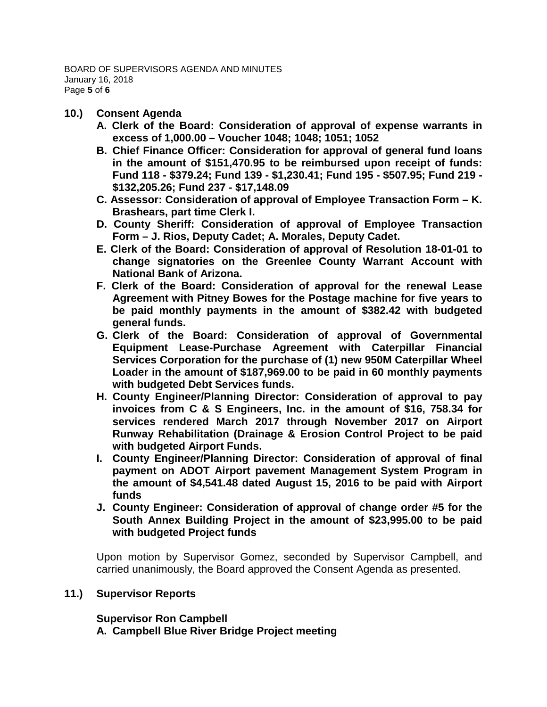## **10.) Consent Agenda**

- **A. Clerk of the Board: Consideration of approval of expense warrants in excess of 1,000.00 – Voucher 1048; 1048; 1051; 1052**
- **B. Chief Finance Officer: Consideration for approval of general fund loans in the amount of \$151,470.95 to be reimbursed upon receipt of funds: Fund 118 - \$379.24; Fund 139 - \$1,230.41; Fund 195 - \$507.95; Fund 219 - \$132,205.26; Fund 237 - \$17,148.09**
- **C. Assessor: Consideration of approval of Employee Transaction Form – K. Brashears, part time Clerk I.**
- **D. County Sheriff: Consideration of approval of Employee Transaction Form – J. Rios, Deputy Cadet; A. Morales, Deputy Cadet.**
- **E. Clerk of the Board: Consideration of approval of Resolution 18-01-01 to change signatories on the Greenlee County Warrant Account with National Bank of Arizona.**
- **F. Clerk of the Board: Consideration of approval for the renewal Lease Agreement with Pitney Bowes for the Postage machine for five years to be paid monthly payments in the amount of \$382.42 with budgeted general funds.**
- **G. Clerk of the Board: Consideration of approval of Governmental Equipment Lease-Purchase Agreement with Caterpillar Financial Services Corporation for the purchase of (1) new 950M Caterpillar Wheel Loader in the amount of \$187,969.00 to be paid in 60 monthly payments with budgeted Debt Services funds.**
- **H. County Engineer/Planning Director: Consideration of approval to pay invoices from C & S Engineers, Inc. in the amount of \$16, 758.34 for services rendered March 2017 through November 2017 on Airport Runway Rehabilitation (Drainage & Erosion Control Project to be paid with budgeted Airport Funds.**
- **I. County Engineer/Planning Director: Consideration of approval of final payment on ADOT Airport pavement Management System Program in the amount of \$4,541.48 dated August 15, 2016 to be paid with Airport funds**
- **J. County Engineer: Consideration of approval of change order #5 for the South Annex Building Project in the amount of \$23,995.00 to be paid with budgeted Project funds**

Upon motion by Supervisor Gomez, seconded by Supervisor Campbell, and carried unanimously, the Board approved the Consent Agenda as presented.

# **11.) Supervisor Reports**

# **Supervisor Ron Campbell**

**A. Campbell Blue River Bridge Project meeting**